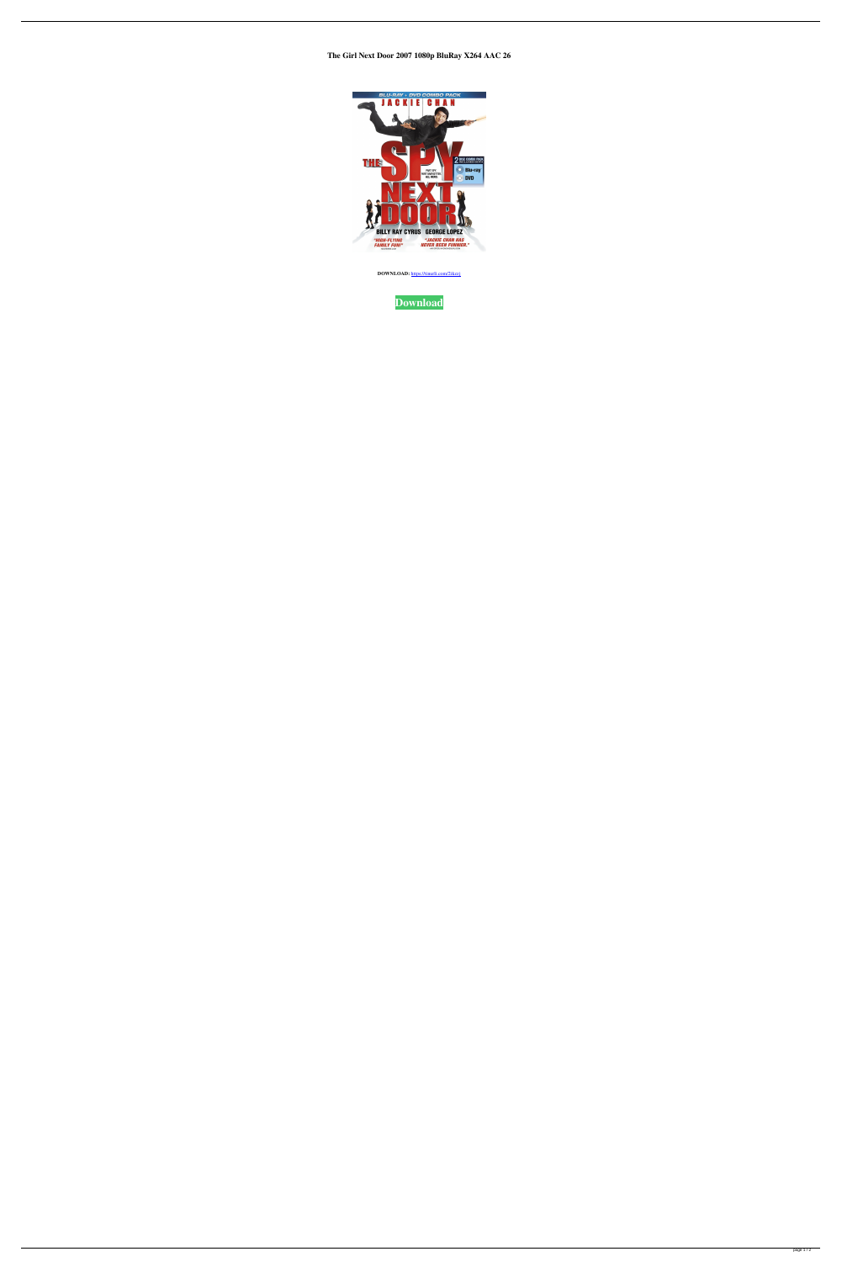**The Girl Next Door 2007 1080p BluRay X264 AAC 26**



**DOWNLOAD:** <https://tinurli.com/2ikzzj>